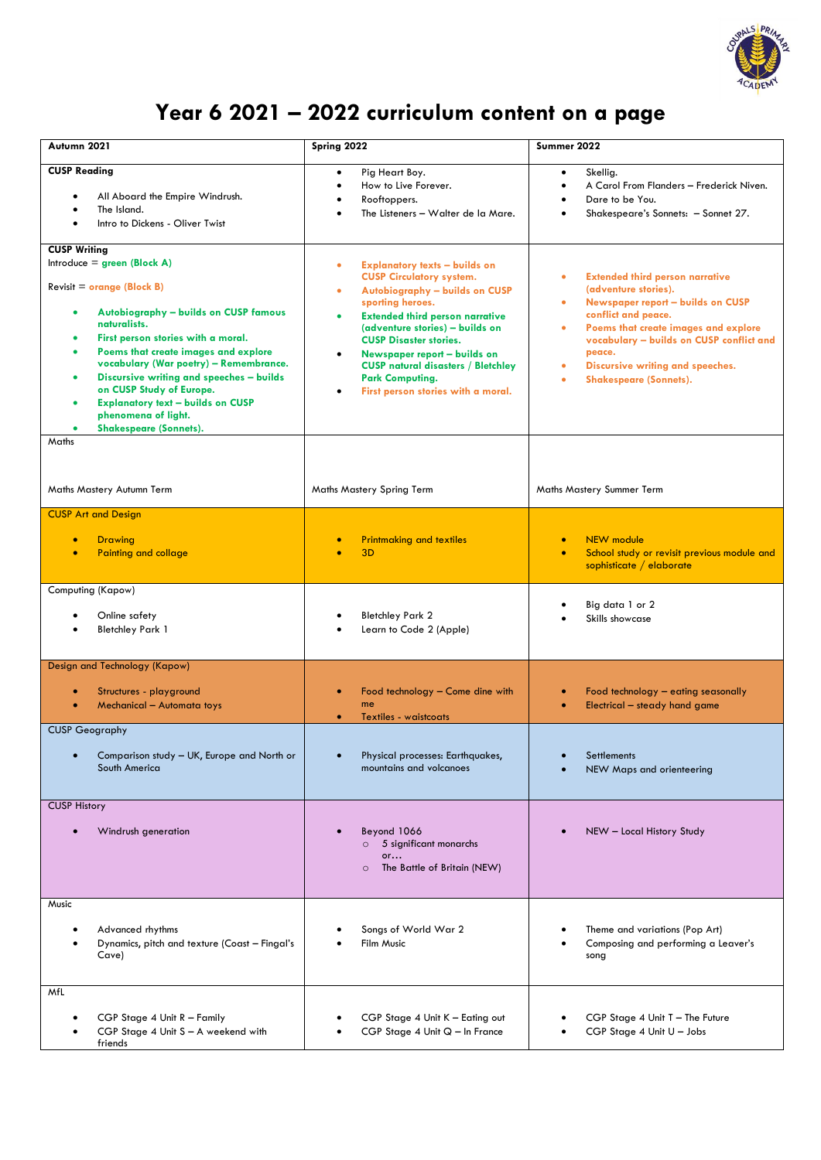

## **Year 6 2021 – 2022 curriculum content on a page**

| Autumn 2021                                                                                                                                                                                                                                                                                                                                                                                                                                      | Spring 2022                                                                                                                                                                                                                                                                                                                                                                                        | Summer 2022                                                                                                                                                                                                                                                                                                                                                    |
|--------------------------------------------------------------------------------------------------------------------------------------------------------------------------------------------------------------------------------------------------------------------------------------------------------------------------------------------------------------------------------------------------------------------------------------------------|----------------------------------------------------------------------------------------------------------------------------------------------------------------------------------------------------------------------------------------------------------------------------------------------------------------------------------------------------------------------------------------------------|----------------------------------------------------------------------------------------------------------------------------------------------------------------------------------------------------------------------------------------------------------------------------------------------------------------------------------------------------------------|
| <b>CUSP Reading</b><br>All Aboard the Empire Windrush.<br>The Island.<br>Intro to Dickens - Oliver Twist                                                                                                                                                                                                                                                                                                                                         | Pig Heart Boy.<br>$\bullet$<br>How to Live Forever.<br>Rooftoppers.<br>The Listeners - Walter de la Mare.                                                                                                                                                                                                                                                                                          | Skellig.<br>$\bullet$<br>A Carol From Flanders - Frederick Niven.<br>Dare to be You.<br>Shakespeare's Sonnets: - Sonnet 27.                                                                                                                                                                                                                                    |
| <b>CUSP Writing</b><br>Introduce = $green (Block A)$<br>$Review = orange (Block B)$<br>Autobiography - builds on CUSP famous<br>naturalists.<br>First person stories with a moral.<br>Poems that create images and explore<br>vocabulary (War poetry) - Remembrance.<br>Discursive writing and speeches - builds<br>on CUSP Study of Europe.<br><b>Explanatory text - builds on CUSP</b><br>phenomena of light.<br><b>Shakespeare (Sonnets).</b> | <b>Explanatory texts - builds on</b><br>٠<br><b>CUSP Circulatory system.</b><br>Autobiography - builds on CUSP<br>٠<br>sporting heroes.<br><b>Extended third person narrative</b><br>(adventure stories) - builds on<br><b>CUSP Disaster stories.</b><br>Newspaper report - builds on<br><b>CUSP natural disasters / Bletchley</b><br><b>Park Computing.</b><br>First person stories with a moral. | <b>Extended third person narrative</b><br>$\bullet$<br>(adventure stories).<br>Newspaper report - builds on CUSP<br>$\bullet$<br>conflict and peace.<br>Poems that create images and explore<br>$\bullet$<br>vocabulary - builds on CUSP conflict and<br>peace.<br>Discursive writing and speeches.<br>$\bullet$<br><b>Shakespeare (Sonnets).</b><br>$\bullet$ |
| Maths<br>Maths Mastery Autumn Term                                                                                                                                                                                                                                                                                                                                                                                                               | Maths Mastery Spring Term                                                                                                                                                                                                                                                                                                                                                                          | Maths Mastery Summer Term                                                                                                                                                                                                                                                                                                                                      |
| <b>CUSP Art and Design</b><br><b>Drawing</b><br><b>Painting and collage</b>                                                                                                                                                                                                                                                                                                                                                                      | <b>Printmaking and textiles</b><br>3D                                                                                                                                                                                                                                                                                                                                                              | <b>NEW</b> module<br>$\bullet$<br>School study or revisit previous module and<br>$\bullet$<br>sophisticate / elaborate                                                                                                                                                                                                                                         |
| Computing (Kapow)<br>Online safety<br><b>Bletchley Park 1</b>                                                                                                                                                                                                                                                                                                                                                                                    | <b>Bletchley Park 2</b><br>Learn to Code 2 (Apple)                                                                                                                                                                                                                                                                                                                                                 | Big data 1 or 2<br>Skills showcase                                                                                                                                                                                                                                                                                                                             |
| Design and Technology (Kapow)<br>Structures - playground<br>Mechanical - Automata toys                                                                                                                                                                                                                                                                                                                                                           | Food technology - Come dine with<br>me<br>Textiles - waistcoats                                                                                                                                                                                                                                                                                                                                    | Food technology - eating seasonally<br>Electrical - steady hand game                                                                                                                                                                                                                                                                                           |
| <b>CUSP Geography</b><br>Comparison study - UK, Europe and North or<br>South America                                                                                                                                                                                                                                                                                                                                                             | Physical processes: Earthquakes,<br>mountains and volcanoes                                                                                                                                                                                                                                                                                                                                        | Settlements<br>NEW Maps and orienteering                                                                                                                                                                                                                                                                                                                       |
| <b>CUSP History</b><br>Windrush generation                                                                                                                                                                                                                                                                                                                                                                                                       | Beyond 1066<br>5 significant monarchs<br>$\circ$<br>or<br>The Battle of Britain (NEW)<br>$\circ$                                                                                                                                                                                                                                                                                                   | NEW - Local History Study                                                                                                                                                                                                                                                                                                                                      |
| Music<br>Advanced rhythms<br>Dynamics, pitch and texture (Coast - Fingal's<br>Cave)                                                                                                                                                                                                                                                                                                                                                              | Songs of World War 2<br>Film Music                                                                                                                                                                                                                                                                                                                                                                 | Theme and variations (Pop Art)<br>Composing and performing a Leaver's<br>song                                                                                                                                                                                                                                                                                  |
| MfL<br>CGP Stage 4 Unit R - Family<br>CGP Stage 4 Unit S - A weekend with<br>friends                                                                                                                                                                                                                                                                                                                                                             | CGP Stage 4 Unit K - Eating out<br>CGP Stage 4 Unit Q - In France                                                                                                                                                                                                                                                                                                                                  | CGP Stage 4 Unit T - The Future<br>CGP Stage 4 Unit U - Jobs                                                                                                                                                                                                                                                                                                   |